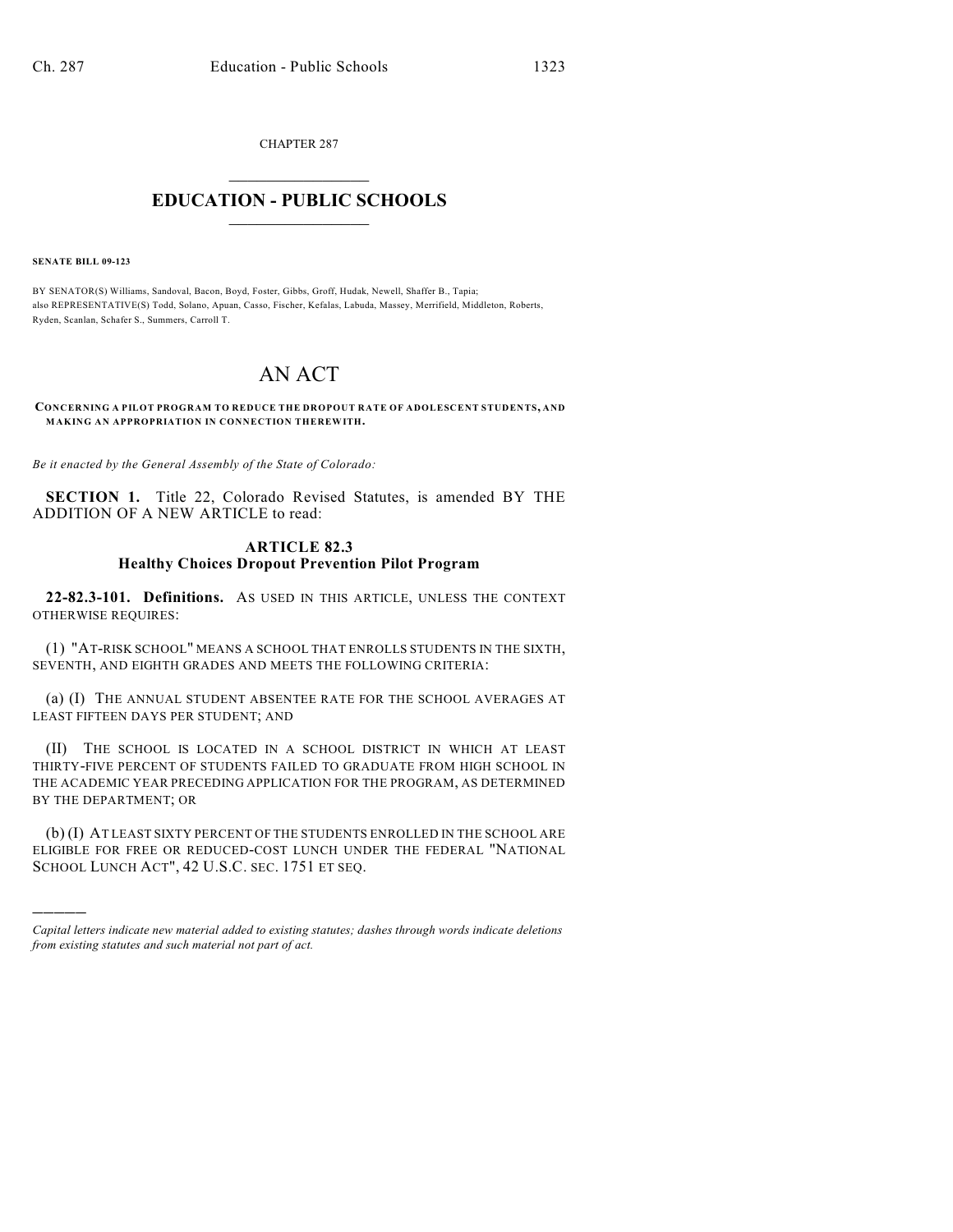CHAPTER 287  $\overline{\phantom{a}}$  . The set of the set of the set of the set of the set of the set of the set of the set of the set of the set of the set of the set of the set of the set of the set of the set of the set of the set of the set o

## **EDUCATION - PUBLIC SCHOOLS**  $\_$   $\_$   $\_$   $\_$   $\_$   $\_$   $\_$   $\_$   $\_$

**SENATE BILL 09-123**

)))))

BY SENATOR(S) Williams, Sandoval, Bacon, Boyd, Foster, Gibbs, Groff, Hudak, Newell, Shaffer B., Tapia; also REPRESENTATIVE(S) Todd, Solano, Apuan, Casso, Fischer, Kefalas, Labuda, Massey, Merrifield, Middleton, Roberts, Ryden, Scanlan, Schafer S., Summers, Carroll T.

## AN ACT

**CONCERNING A PILOT PROGRAM TO REDUCE THE DROPOUT RATE OF ADOLESCENT STUDENTS, AND MAKING AN APPROPRIATION IN CONNECTION THEREWITH.**

*Be it enacted by the General Assembly of the State of Colorado:*

**SECTION 1.** Title 22, Colorado Revised Statutes, is amended BY THE ADDITION OF A NEW ARTICLE to read:

## **ARTICLE 82.3 Healthy Choices Dropout Prevention Pilot Program**

**22-82.3-101. Definitions.** AS USED IN THIS ARTICLE, UNLESS THE CONTEXT OTHERWISE REQUIRES:

(1) "AT-RISK SCHOOL" MEANS A SCHOOL THAT ENROLLS STUDENTS IN THE SIXTH, SEVENTH, AND EIGHTH GRADES AND MEETS THE FOLLOWING CRITERIA:

(a) (I) THE ANNUAL STUDENT ABSENTEE RATE FOR THE SCHOOL AVERAGES AT LEAST FIFTEEN DAYS PER STUDENT; AND

(II) THE SCHOOL IS LOCATED IN A SCHOOL DISTRICT IN WHICH AT LEAST THIRTY-FIVE PERCENT OF STUDENTS FAILED TO GRADUATE FROM HIGH SCHOOL IN THE ACADEMIC YEAR PRECEDING APPLICATION FOR THE PROGRAM, AS DETERMINED BY THE DEPARTMENT; OR

(b) (I) AT LEAST SIXTY PERCENT OF THE STUDENTS ENROLLED IN THE SCHOOL ARE ELIGIBLE FOR FREE OR REDUCED-COST LUNCH UNDER THE FEDERAL "NATIONAL SCHOOL LUNCH ACT", 42 U.S.C. SEC. 1751 ET SEQ.

*Capital letters indicate new material added to existing statutes; dashes through words indicate deletions from existing statutes and such material not part of act.*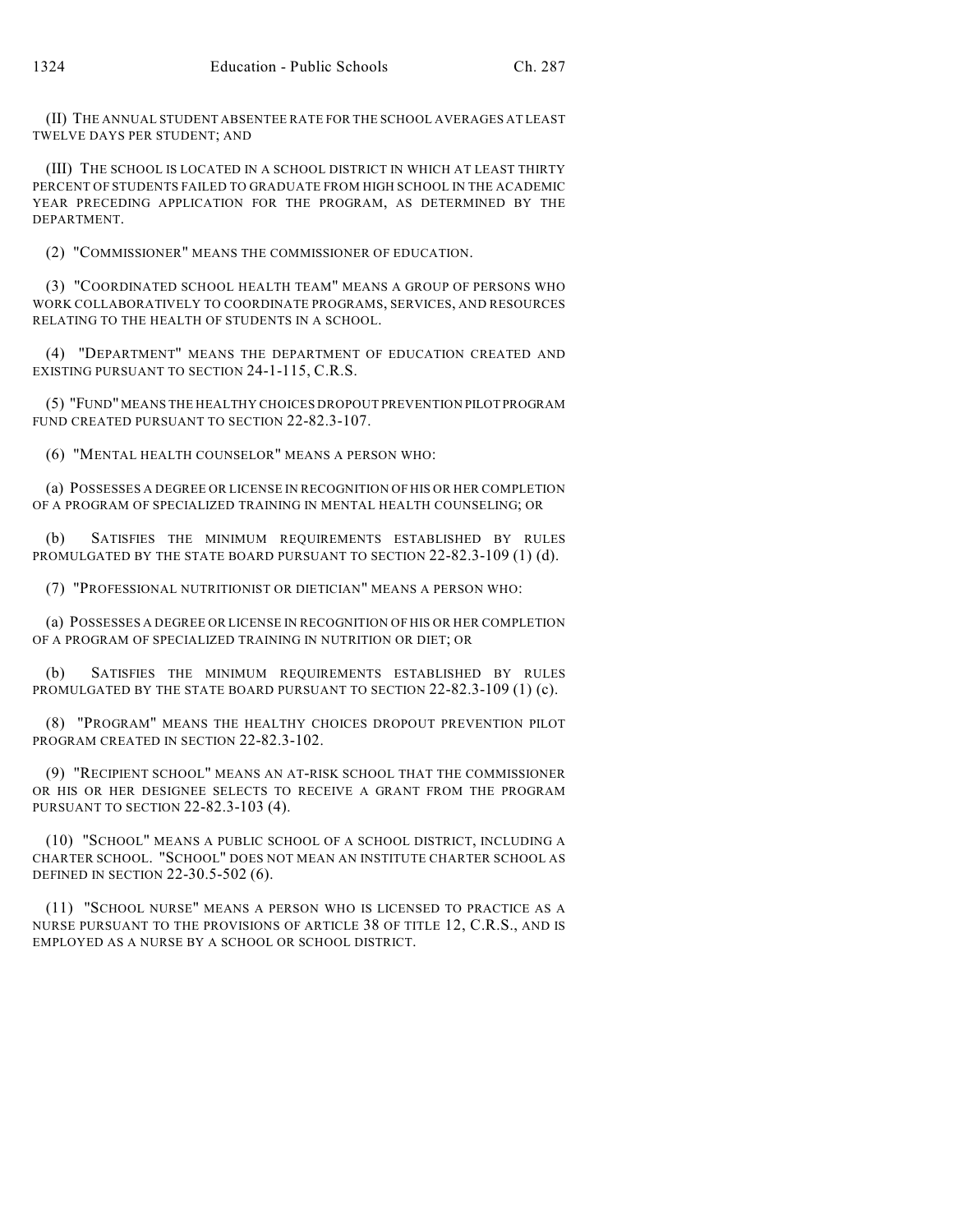(II) THE ANNUAL STUDENT ABSENTEE RATE FOR THE SCHOOL AVERAGES AT LEAST TWELVE DAYS PER STUDENT; AND

(III) THE SCHOOL IS LOCATED IN A SCHOOL DISTRICT IN WHICH AT LEAST THIRTY PERCENT OF STUDENTS FAILED TO GRADUATE FROM HIGH SCHOOL IN THE ACADEMIC YEAR PRECEDING APPLICATION FOR THE PROGRAM, AS DETERMINED BY THE DEPARTMENT.

(2) "COMMISSIONER" MEANS THE COMMISSIONER OF EDUCATION.

(3) "COORDINATED SCHOOL HEALTH TEAM" MEANS A GROUP OF PERSONS WHO WORK COLLABORATIVELY TO COORDINATE PROGRAMS, SERVICES, AND RESOURCES RELATING TO THE HEALTH OF STUDENTS IN A SCHOOL.

(4) "DEPARTMENT" MEANS THE DEPARTMENT OF EDUCATION CREATED AND EXISTING PURSUANT TO SECTION 24-1-115, C.R.S.

(5) "FUND" MEANS THE HEALTHY CHOICES DROPOUT PREVENTION PILOT PROGRAM FUND CREATED PURSUANT TO SECTION 22-82.3-107.

(6) "MENTAL HEALTH COUNSELOR" MEANS A PERSON WHO:

(a) POSSESSES A DEGREE OR LICENSE IN RECOGNITION OF HIS OR HER COMPLETION OF A PROGRAM OF SPECIALIZED TRAINING IN MENTAL HEALTH COUNSELING; OR

(b) SATISFIES THE MINIMUM REQUIREMENTS ESTABLISHED BY RULES PROMULGATED BY THE STATE BOARD PURSUANT TO SECTION 22-82.3-109 (1) (d).

(7) "PROFESSIONAL NUTRITIONIST OR DIETICIAN" MEANS A PERSON WHO:

(a) POSSESSES A DEGREE OR LICENSE IN RECOGNITION OF HIS OR HER COMPLETION OF A PROGRAM OF SPECIALIZED TRAINING IN NUTRITION OR DIET; OR

(b) SATISFIES THE MINIMUM REQUIREMENTS ESTABLISHED BY RULES PROMULGATED BY THE STATE BOARD PURSUANT TO SECTION 22-82.3-109 (1) (c).

(8) "PROGRAM" MEANS THE HEALTHY CHOICES DROPOUT PREVENTION PILOT PROGRAM CREATED IN SECTION 22-82.3-102.

(9) "RECIPIENT SCHOOL" MEANS AN AT-RISK SCHOOL THAT THE COMMISSIONER OR HIS OR HER DESIGNEE SELECTS TO RECEIVE A GRANT FROM THE PROGRAM PURSUANT TO SECTION 22-82.3-103 (4).

(10) "SCHOOL" MEANS A PUBLIC SCHOOL OF A SCHOOL DISTRICT, INCLUDING A CHARTER SCHOOL. "SCHOOL" DOES NOT MEAN AN INSTITUTE CHARTER SCHOOL AS DEFINED IN SECTION 22-30.5-502 (6).

(11) "SCHOOL NURSE" MEANS A PERSON WHO IS LICENSED TO PRACTICE AS A NURSE PURSUANT TO THE PROVISIONS OF ARTICLE 38 OF TITLE 12, C.R.S., AND IS EMPLOYED AS A NURSE BY A SCHOOL OR SCHOOL DISTRICT.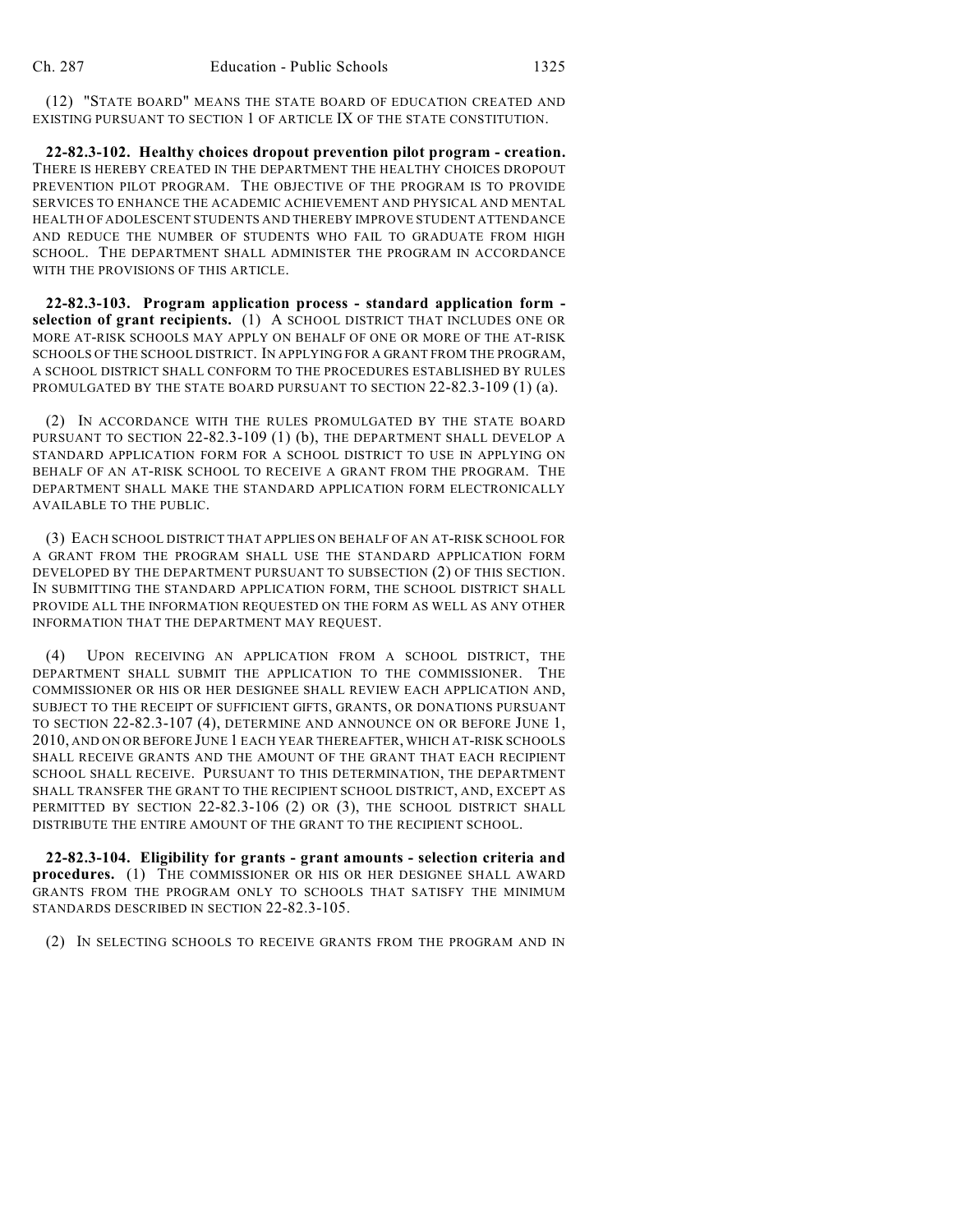(12) "STATE BOARD" MEANS THE STATE BOARD OF EDUCATION CREATED AND EXISTING PURSUANT TO SECTION 1 OF ARTICLE IX OF THE STATE CONSTITUTION.

**22-82.3-102. Healthy choices dropout prevention pilot program - creation.** THERE IS HEREBY CREATED IN THE DEPARTMENT THE HEALTHY CHOICES DROPOUT PREVENTION PILOT PROGRAM. THE OBJECTIVE OF THE PROGRAM IS TO PROVIDE SERVICES TO ENHANCE THE ACADEMIC ACHIEVEMENT AND PHYSICAL AND MENTAL HEALTH OF ADOLESCENT STUDENTS AND THEREBY IMPROVE STUDENT ATTENDANCE AND REDUCE THE NUMBER OF STUDENTS WHO FAIL TO GRADUATE FROM HIGH SCHOOL. THE DEPARTMENT SHALL ADMINISTER THE PROGRAM IN ACCORDANCE WITH THE PROVISIONS OF THIS ARTICLE.

**22-82.3-103. Program application process - standard application form selection of grant recipients.** (1) A SCHOOL DISTRICT THAT INCLUDES ONE OR MORE AT-RISK SCHOOLS MAY APPLY ON BEHALF OF ONE OR MORE OF THE AT-RISK SCHOOLS OF THE SCHOOL DISTRICT. IN APPLYING FOR A GRANT FROM THE PROGRAM, A SCHOOL DISTRICT SHALL CONFORM TO THE PROCEDURES ESTABLISHED BY RULES PROMULGATED BY THE STATE BOARD PURSUANT TO SECTION 22-82.3-109 (1) (a).

(2) IN ACCORDANCE WITH THE RULES PROMULGATED BY THE STATE BOARD PURSUANT TO SECTION 22-82.3-109 (1) (b), THE DEPARTMENT SHALL DEVELOP A STANDARD APPLICATION FORM FOR A SCHOOL DISTRICT TO USE IN APPLYING ON BEHALF OF AN AT-RISK SCHOOL TO RECEIVE A GRANT FROM THE PROGRAM. THE DEPARTMENT SHALL MAKE THE STANDARD APPLICATION FORM ELECTRONICALLY AVAILABLE TO THE PUBLIC.

(3) EACH SCHOOL DISTRICT THAT APPLIES ON BEHALF OF AN AT-RISK SCHOOL FOR A GRANT FROM THE PROGRAM SHALL USE THE STANDARD APPLICATION FORM DEVELOPED BY THE DEPARTMENT PURSUANT TO SUBSECTION (2) OF THIS SECTION. IN SUBMITTING THE STANDARD APPLICATION FORM, THE SCHOOL DISTRICT SHALL PROVIDE ALL THE INFORMATION REQUESTED ON THE FORM AS WELL AS ANY OTHER INFORMATION THAT THE DEPARTMENT MAY REQUEST.

(4) UPON RECEIVING AN APPLICATION FROM A SCHOOL DISTRICT, THE DEPARTMENT SHALL SUBMIT THE APPLICATION TO THE COMMISSIONER. THE COMMISSIONER OR HIS OR HER DESIGNEE SHALL REVIEW EACH APPLICATION AND, SUBJECT TO THE RECEIPT OF SUFFICIENT GIFTS, GRANTS, OR DONATIONS PURSUANT TO SECTION 22-82.3-107 (4), DETERMINE AND ANNOUNCE ON OR BEFORE JUNE 1, 2010, AND ON OR BEFORE JUNE 1 EACH YEAR THEREAFTER, WHICH AT-RISK SCHOOLS SHALL RECEIVE GRANTS AND THE AMOUNT OF THE GRANT THAT EACH RECIPIENT SCHOOL SHALL RECEIVE. PURSUANT TO THIS DETERMINATION, THE DEPARTMENT SHALL TRANSFER THE GRANT TO THE RECIPIENT SCHOOL DISTRICT, AND, EXCEPT AS PERMITTED BY SECTION 22-82.3-106 (2) OR (3), THE SCHOOL DISTRICT SHALL DISTRIBUTE THE ENTIRE AMOUNT OF THE GRANT TO THE RECIPIENT SCHOOL.

**22-82.3-104. Eligibility for grants - grant amounts - selection criteria and procedures.** (1) THE COMMISSIONER OR HIS OR HER DESIGNEE SHALL AWARD GRANTS FROM THE PROGRAM ONLY TO SCHOOLS THAT SATISFY THE MINIMUM STANDARDS DESCRIBED IN SECTION 22-82.3-105.

(2) IN SELECTING SCHOOLS TO RECEIVE GRANTS FROM THE PROGRAM AND IN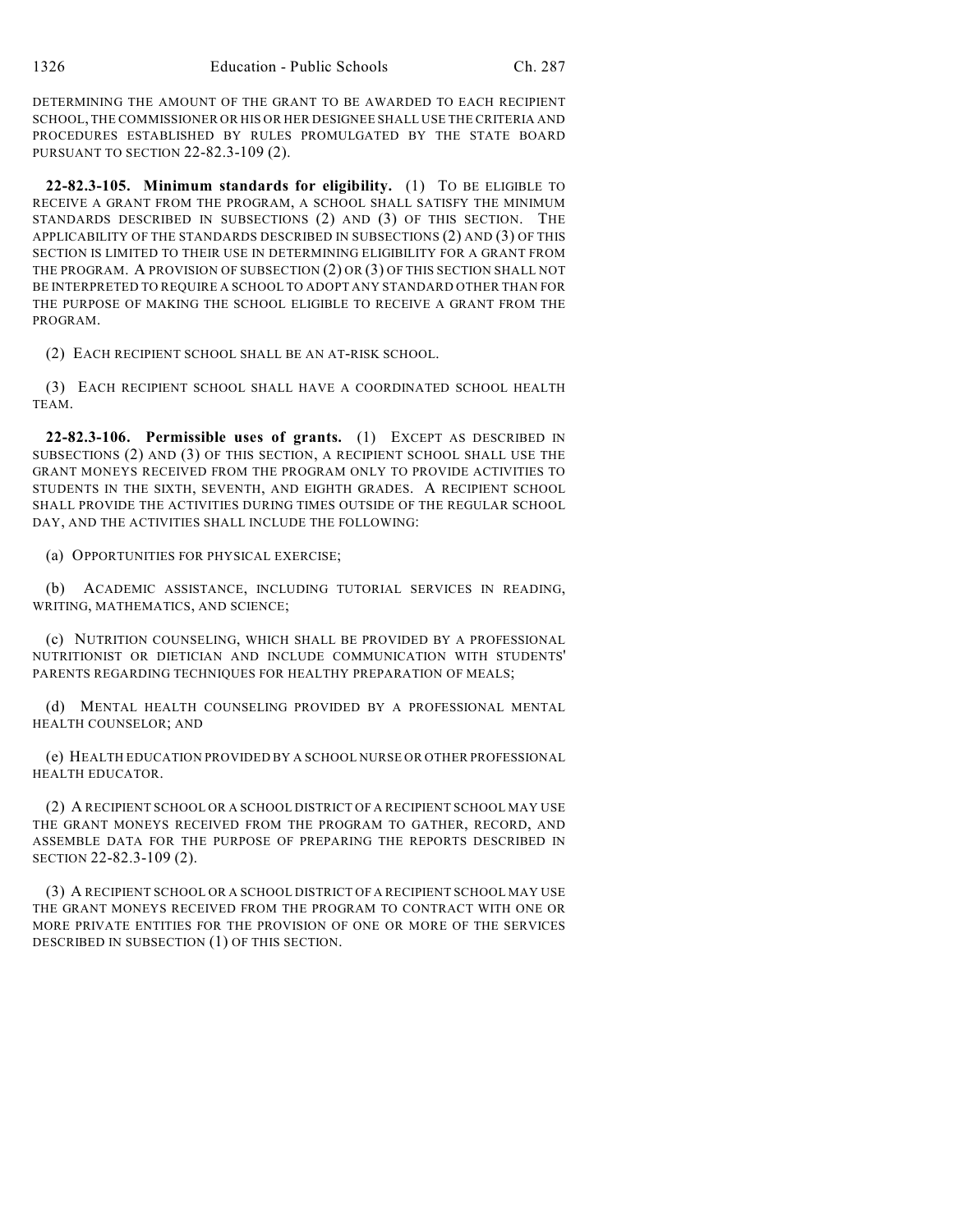DETERMINING THE AMOUNT OF THE GRANT TO BE AWARDED TO EACH RECIPIENT SCHOOL, THE COMMISSIONER OR HIS OR HER DESIGNEE SHALL USE THE CRITERIA AND PROCEDURES ESTABLISHED BY RULES PROMULGATED BY THE STATE BOARD PURSUANT TO SECTION 22-82.3-109 (2).

**22-82.3-105. Minimum standards for eligibility.** (1) TO BE ELIGIBLE TO RECEIVE A GRANT FROM THE PROGRAM, A SCHOOL SHALL SATISFY THE MINIMUM STANDARDS DESCRIBED IN SUBSECTIONS (2) AND (3) OF THIS SECTION. THE APPLICABILITY OF THE STANDARDS DESCRIBED IN SUBSECTIONS (2) AND (3) OF THIS SECTION IS LIMITED TO THEIR USE IN DETERMINING ELIGIBILITY FOR A GRANT FROM THE PROGRAM. A PROVISION OF SUBSECTION (2) OR (3) OF THIS SECTION SHALL NOT BE INTERPRETED TO REQUIRE A SCHOOL TO ADOPT ANY STANDARD OTHER THAN FOR THE PURPOSE OF MAKING THE SCHOOL ELIGIBLE TO RECEIVE A GRANT FROM THE PROGRAM.

(2) EACH RECIPIENT SCHOOL SHALL BE AN AT-RISK SCHOOL.

(3) EACH RECIPIENT SCHOOL SHALL HAVE A COORDINATED SCHOOL HEALTH TEAM.

**22-82.3-106. Permissible uses of grants.** (1) EXCEPT AS DESCRIBED IN SUBSECTIONS (2) AND (3) OF THIS SECTION, A RECIPIENT SCHOOL SHALL USE THE GRANT MONEYS RECEIVED FROM THE PROGRAM ONLY TO PROVIDE ACTIVITIES TO STUDENTS IN THE SIXTH, SEVENTH, AND EIGHTH GRADES. A RECIPIENT SCHOOL SHALL PROVIDE THE ACTIVITIES DURING TIMES OUTSIDE OF THE REGULAR SCHOOL DAY, AND THE ACTIVITIES SHALL INCLUDE THE FOLLOWING:

(a) OPPORTUNITIES FOR PHYSICAL EXERCISE;

(b) ACADEMIC ASSISTANCE, INCLUDING TUTORIAL SERVICES IN READING, WRITING, MATHEMATICS, AND SCIENCE;

(c) NUTRITION COUNSELING, WHICH SHALL BE PROVIDED BY A PROFESSIONAL NUTRITIONIST OR DIETICIAN AND INCLUDE COMMUNICATION WITH STUDENTS' PARENTS REGARDING TECHNIQUES FOR HEALTHY PREPARATION OF MEALS;

(d) MENTAL HEALTH COUNSELING PROVIDED BY A PROFESSIONAL MENTAL HEALTH COUNSELOR; AND

(e) HEALTH EDUCATION PROVIDED BY A SCHOOL NURSE OR OTHER PROFESSIONAL HEALTH EDUCATOR.

(2) A RECIPIENT SCHOOL OR A SCHOOL DISTRICT OF A RECIPIENT SCHOOL MAY USE THE GRANT MONEYS RECEIVED FROM THE PROGRAM TO GATHER, RECORD, AND ASSEMBLE DATA FOR THE PURPOSE OF PREPARING THE REPORTS DESCRIBED IN SECTION 22-82.3-109 (2).

(3) A RECIPIENT SCHOOL OR A SCHOOL DISTRICT OF A RECIPIENT SCHOOL MAY USE THE GRANT MONEYS RECEIVED FROM THE PROGRAM TO CONTRACT WITH ONE OR MORE PRIVATE ENTITIES FOR THE PROVISION OF ONE OR MORE OF THE SERVICES DESCRIBED IN SUBSECTION (1) OF THIS SECTION.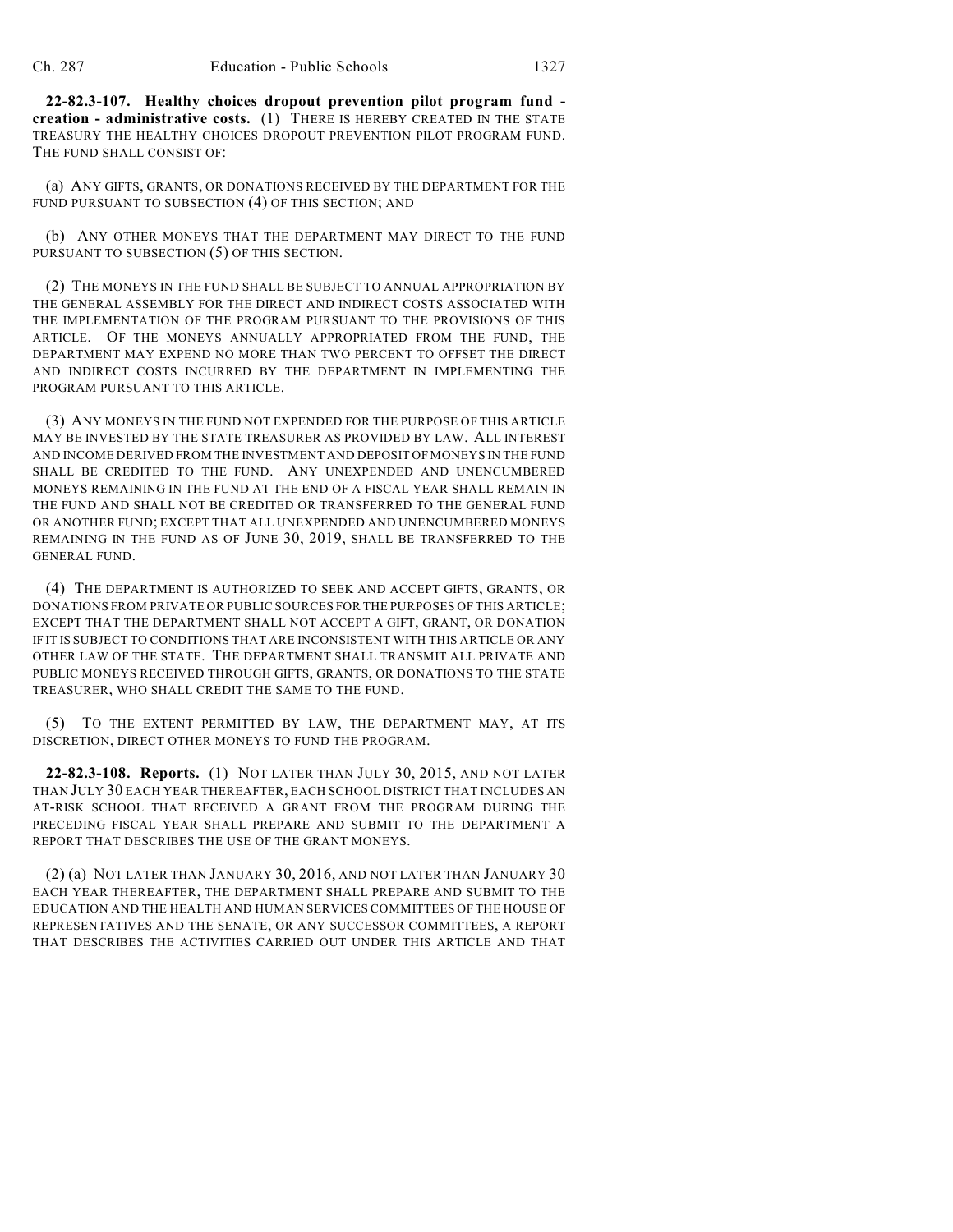**22-82.3-107. Healthy choices dropout prevention pilot program fund creation - administrative costs.** (1) THERE IS HEREBY CREATED IN THE STATE TREASURY THE HEALTHY CHOICES DROPOUT PREVENTION PILOT PROGRAM FUND. THE FUND SHALL CONSIST OF:

(a) ANY GIFTS, GRANTS, OR DONATIONS RECEIVED BY THE DEPARTMENT FOR THE FUND PURSUANT TO SUBSECTION (4) OF THIS SECTION; AND

(b) ANY OTHER MONEYS THAT THE DEPARTMENT MAY DIRECT TO THE FUND PURSUANT TO SUBSECTION (5) OF THIS SECTION.

(2) THE MONEYS IN THE FUND SHALL BE SUBJECT TO ANNUAL APPROPRIATION BY THE GENERAL ASSEMBLY FOR THE DIRECT AND INDIRECT COSTS ASSOCIATED WITH THE IMPLEMENTATION OF THE PROGRAM PURSUANT TO THE PROVISIONS OF THIS ARTICLE. OF THE MONEYS ANNUALLY APPROPRIATED FROM THE FUND, THE DEPARTMENT MAY EXPEND NO MORE THAN TWO PERCENT TO OFFSET THE DIRECT AND INDIRECT COSTS INCURRED BY THE DEPARTMENT IN IMPLEMENTING THE PROGRAM PURSUANT TO THIS ARTICLE.

(3) ANY MONEYS IN THE FUND NOT EXPENDED FOR THE PURPOSE OF THIS ARTICLE MAY BE INVESTED BY THE STATE TREASURER AS PROVIDED BY LAW. ALL INTEREST AND INCOME DERIVED FROM THE INVESTMENT AND DEPOSIT OF MONEYS IN THE FUND SHALL BE CREDITED TO THE FUND. ANY UNEXPENDED AND UNENCUMBERED MONEYS REMAINING IN THE FUND AT THE END OF A FISCAL YEAR SHALL REMAIN IN THE FUND AND SHALL NOT BE CREDITED OR TRANSFERRED TO THE GENERAL FUND OR ANOTHER FUND; EXCEPT THAT ALL UNEXPENDED AND UNENCUMBERED MONEYS REMAINING IN THE FUND AS OF JUNE 30, 2019, SHALL BE TRANSFERRED TO THE GENERAL FUND.

(4) THE DEPARTMENT IS AUTHORIZED TO SEEK AND ACCEPT GIFTS, GRANTS, OR DONATIONS FROM PRIVATE OR PUBLIC SOURCES FOR THE PURPOSES OF THIS ARTICLE; EXCEPT THAT THE DEPARTMENT SHALL NOT ACCEPT A GIFT, GRANT, OR DONATION IF IT IS SUBJECT TO CONDITIONS THAT ARE INCONSISTENT WITH THIS ARTICLE OR ANY OTHER LAW OF THE STATE. THE DEPARTMENT SHALL TRANSMIT ALL PRIVATE AND PUBLIC MONEYS RECEIVED THROUGH GIFTS, GRANTS, OR DONATIONS TO THE STATE TREASURER, WHO SHALL CREDIT THE SAME TO THE FUND.

(5) TO THE EXTENT PERMITTED BY LAW, THE DEPARTMENT MAY, AT ITS DISCRETION, DIRECT OTHER MONEYS TO FUND THE PROGRAM.

**22-82.3-108. Reports.** (1) NOT LATER THAN JULY 30, 2015, AND NOT LATER THAN JULY 30 EACH YEAR THEREAFTER, EACH SCHOOL DISTRICT THAT INCLUDES AN AT-RISK SCHOOL THAT RECEIVED A GRANT FROM THE PROGRAM DURING THE PRECEDING FISCAL YEAR SHALL PREPARE AND SUBMIT TO THE DEPARTMENT A REPORT THAT DESCRIBES THE USE OF THE GRANT MONEYS.

(2) (a) NOT LATER THAN JANUARY 30, 2016, AND NOT LATER THAN JANUARY 30 EACH YEAR THEREAFTER, THE DEPARTMENT SHALL PREPARE AND SUBMIT TO THE EDUCATION AND THE HEALTH AND HUMAN SERVICES COMMITTEES OF THE HOUSE OF REPRESENTATIVES AND THE SENATE, OR ANY SUCCESSOR COMMITTEES, A REPORT THAT DESCRIBES THE ACTIVITIES CARRIED OUT UNDER THIS ARTICLE AND THAT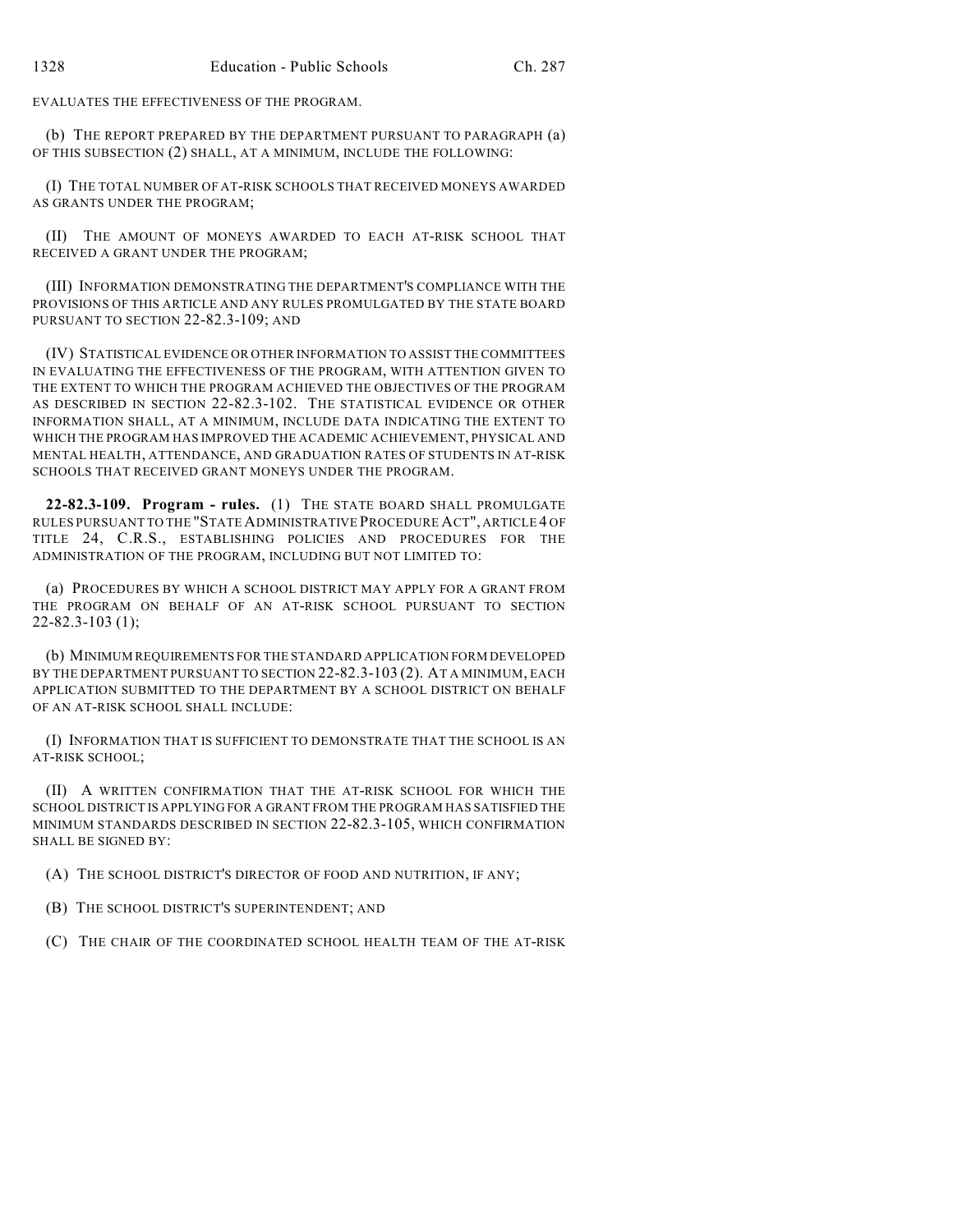EVALUATES THE EFFECTIVENESS OF THE PROGRAM.

(b) THE REPORT PREPARED BY THE DEPARTMENT PURSUANT TO PARAGRAPH (a) OF THIS SUBSECTION (2) SHALL, AT A MINIMUM, INCLUDE THE FOLLOWING:

(I) THE TOTAL NUMBER OF AT-RISK SCHOOLS THAT RECEIVED MONEYS AWARDED AS GRANTS UNDER THE PROGRAM;

(II) THE AMOUNT OF MONEYS AWARDED TO EACH AT-RISK SCHOOL THAT RECEIVED A GRANT UNDER THE PROGRAM;

(III) INFORMATION DEMONSTRATING THE DEPARTMENT'S COMPLIANCE WITH THE PROVISIONS OF THIS ARTICLE AND ANY RULES PROMULGATED BY THE STATE BOARD PURSUANT TO SECTION 22-82.3-109; AND

(IV) STATISTICAL EVIDENCE OR OTHER INFORMATION TO ASSIST THE COMMITTEES IN EVALUATING THE EFFECTIVENESS OF THE PROGRAM, WITH ATTENTION GIVEN TO THE EXTENT TO WHICH THE PROGRAM ACHIEVED THE OBJECTIVES OF THE PROGRAM AS DESCRIBED IN SECTION 22-82.3-102. THE STATISTICAL EVIDENCE OR OTHER INFORMATION SHALL, AT A MINIMUM, INCLUDE DATA INDICATING THE EXTENT TO WHICH THE PROGRAM HAS IMPROVED THE ACADEMIC ACHIEVEMENT, PHYSICAL AND MENTAL HEALTH, ATTENDANCE, AND GRADUATION RATES OF STUDENTS IN AT-RISK SCHOOLS THAT RECEIVED GRANT MONEYS UNDER THE PROGRAM.

**22-82.3-109. Program - rules.** (1) THE STATE BOARD SHALL PROMULGATE RULES PURSUANT TO THE "STATE ADMINISTRATIVE PROCEDURE ACT", ARTICLE 4 OF TITLE 24, C.R.S., ESTABLISHING POLICIES AND PROCEDURES FOR THE ADMINISTRATION OF THE PROGRAM, INCLUDING BUT NOT LIMITED TO:

(a) PROCEDURES BY WHICH A SCHOOL DISTRICT MAY APPLY FOR A GRANT FROM THE PROGRAM ON BEHALF OF AN AT-RISK SCHOOL PURSUANT TO SECTION 22-82.3-103 (1);

(b) MINIMUM REQUIREMENTS FOR THE STANDARD APPLICATION FORM DEVELOPED BY THE DEPARTMENT PURSUANT TO SECTION 22-82.3-103 (2). AT A MINIMUM, EACH APPLICATION SUBMITTED TO THE DEPARTMENT BY A SCHOOL DISTRICT ON BEHALF OF AN AT-RISK SCHOOL SHALL INCLUDE:

(I) INFORMATION THAT IS SUFFICIENT TO DEMONSTRATE THAT THE SCHOOL IS AN AT-RISK SCHOOL;

(II) A WRITTEN CONFIRMATION THAT THE AT-RISK SCHOOL FOR WHICH THE SCHOOL DISTRICT IS APPLYING FOR A GRANT FROM THE PROGRAM HAS SATISFIED THE MINIMUM STANDARDS DESCRIBED IN SECTION 22-82.3-105, WHICH CONFIRMATION SHALL BE SIGNED BY:

(A) THE SCHOOL DISTRICT'S DIRECTOR OF FOOD AND NUTRITION, IF ANY;

(B) THE SCHOOL DISTRICT'S SUPERINTENDENT; AND

(C) THE CHAIR OF THE COORDINATED SCHOOL HEALTH TEAM OF THE AT-RISK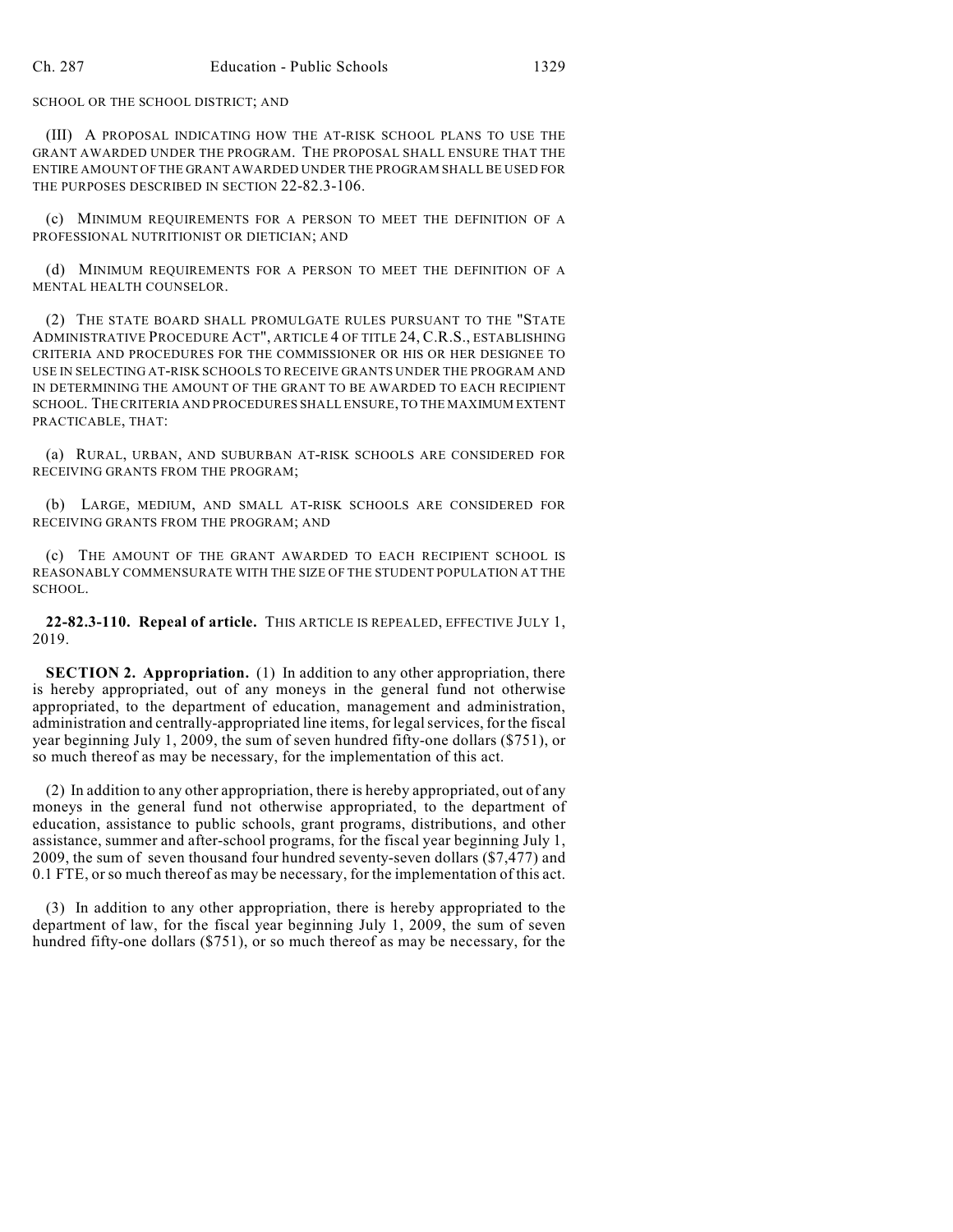SCHOOL OR THE SCHOOL DISTRICT; AND

(III) A PROPOSAL INDICATING HOW THE AT-RISK SCHOOL PLANS TO USE THE GRANT AWARDED UNDER THE PROGRAM. THE PROPOSAL SHALL ENSURE THAT THE ENTIRE AMOUNT OF THE GRANT AWARDED UNDER THE PROGRAM SHALL BE USED FOR THE PURPOSES DESCRIBED IN SECTION 22-82.3-106.

(c) MINIMUM REQUIREMENTS FOR A PERSON TO MEET THE DEFINITION OF A PROFESSIONAL NUTRITIONIST OR DIETICIAN; AND

(d) MINIMUM REQUIREMENTS FOR A PERSON TO MEET THE DEFINITION OF A MENTAL HEALTH COUNSELOR.

(2) THE STATE BOARD SHALL PROMULGATE RULES PURSUANT TO THE "STATE ADMINISTRATIVE PROCEDURE ACT", ARTICLE 4 OF TITLE 24, C.R.S., ESTABLISHING CRITERIA AND PROCEDURES FOR THE COMMISSIONER OR HIS OR HER DESIGNEE TO USE IN SELECTING AT-RISK SCHOOLS TO RECEIVE GRANTS UNDER THE PROGRAM AND IN DETERMINING THE AMOUNT OF THE GRANT TO BE AWARDED TO EACH RECIPIENT SCHOOL. THE CRITERIA AND PROCEDURES SHALL ENSURE, TO THE MAXIMUM EXTENT PRACTICABLE, THAT:

(a) RURAL, URBAN, AND SUBURBAN AT-RISK SCHOOLS ARE CONSIDERED FOR RECEIVING GRANTS FROM THE PROGRAM;

(b) LARGE, MEDIUM, AND SMALL AT-RISK SCHOOLS ARE CONSIDERED FOR RECEIVING GRANTS FROM THE PROGRAM; AND

(c) THE AMOUNT OF THE GRANT AWARDED TO EACH RECIPIENT SCHOOL IS REASONABLY COMMENSURATE WITH THE SIZE OF THE STUDENT POPULATION AT THE SCHOOL.

**22-82.3-110. Repeal of article.** THIS ARTICLE IS REPEALED, EFFECTIVE JULY 1, 2019.

**SECTION 2. Appropriation.** (1) In addition to any other appropriation, there is hereby appropriated, out of any moneys in the general fund not otherwise appropriated, to the department of education, management and administration, administration and centrally-appropriated line items, for legalservices, for the fiscal year beginning July 1, 2009, the sum of seven hundred fifty-one dollars (\$751), or so much thereof as may be necessary, for the implementation of this act.

(2) In addition to any other appropriation, there is hereby appropriated, out of any moneys in the general fund not otherwise appropriated, to the department of education, assistance to public schools, grant programs, distributions, and other assistance, summer and after-school programs, for the fiscal year beginning July 1, 2009, the sum of seven thousand four hundred seventy-seven dollars (\$7,477) and 0.1 FTE, or so much thereof as may be necessary, for the implementation of this act.

(3) In addition to any other appropriation, there is hereby appropriated to the department of law, for the fiscal year beginning July 1, 2009, the sum of seven hundred fifty-one dollars (\$751), or so much thereof as may be necessary, for the